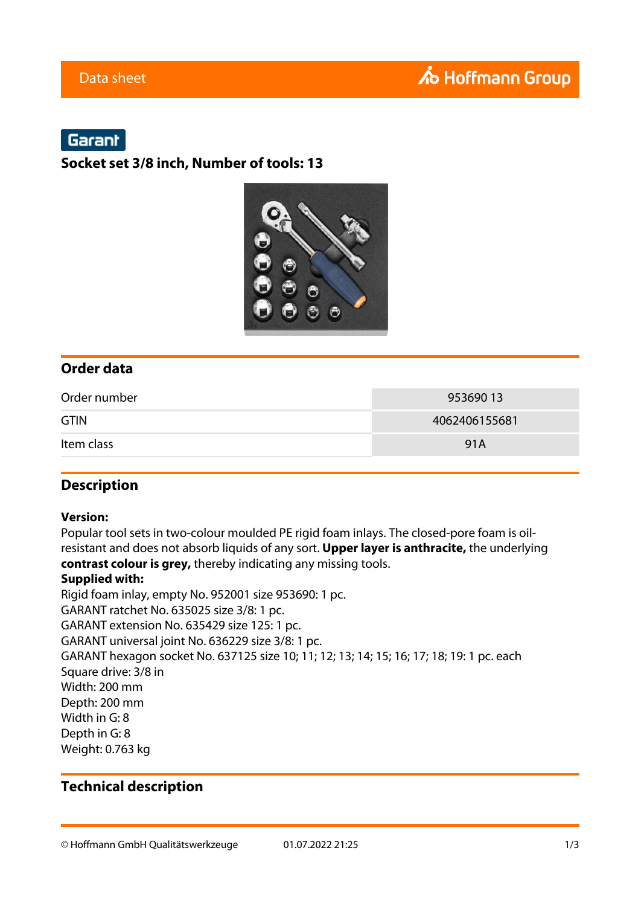# Garant

### **Socket set 3/8 inch, Number of tools: 13**



### **Order data**

| Order number | 95369013      |
|--------------|---------------|
| <b>GTIN</b>  | 4062406155681 |
| Item class   | 91A           |

### **Description**

#### **Version:**

Popular tool sets in two-colour moulded PE rigid foam inlays. The closed-pore foam is oilresistant and does not absorb liquids of any sort. **Upper layer is anthracite,** the underlying **contrast colour is grey,** thereby indicating any missing tools.

#### **Supplied with:**

Rigid foam inlay, empty No. 952001 size 953690: 1 pc. GARANT ratchet No. 635025 size 3/8: 1 pc. GARANT extension No. 635429 size 125: 1 pc. GARANT universal joint No. 636229 size 3/8: 1 pc. GARANT hexagon socket No. 637125 size 10; 11; 12; 13; 14; 15; 16; 17; 18; 19: 1 pc. each Square drive: 3/8 in Width: 200 mm Depth: 200 mm Width in G: 8 Depth in G: 8 Weight: 0.763 kg

### **Technical description**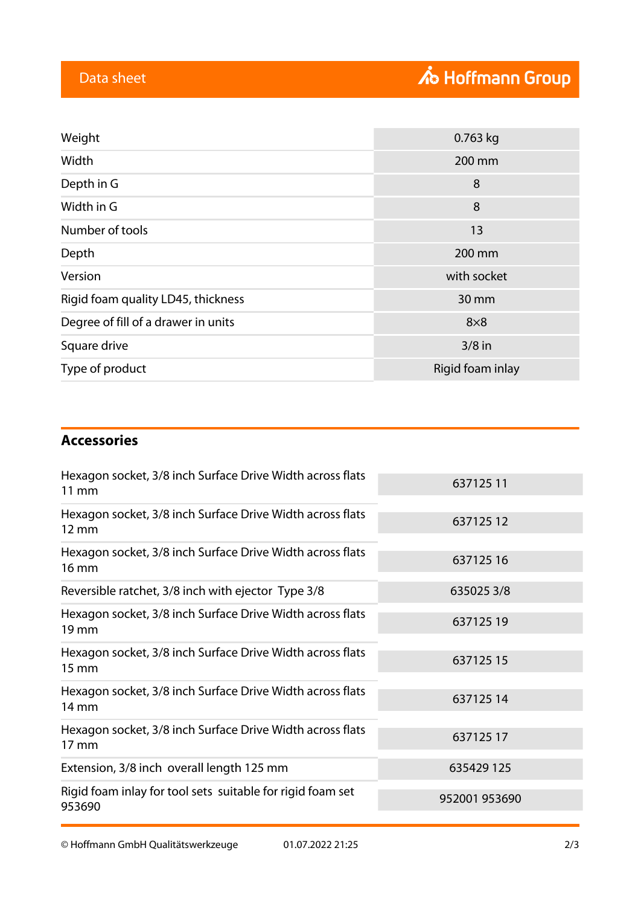| Weight                              | $0.763$ kg       |
|-------------------------------------|------------------|
| Width                               | 200 mm           |
| Depth in G                          | 8                |
| Width in G                          | 8                |
| Number of tools                     | 13               |
| Depth                               | 200 mm           |
| Version                             | with socket      |
| Rigid foam quality LD45, thickness  | 30 mm            |
| Degree of fill of a drawer in units | $8\times8$       |
| Square drive                        | $3/8$ in         |
| Type of product                     | Rigid foam inlay |

## **Accessories**

| Hexagon socket, 3/8 inch Surface Drive Width across flats<br>$11 \, \text{mm}$  | 63712511      |
|---------------------------------------------------------------------------------|---------------|
| Hexagon socket, 3/8 inch Surface Drive Width across flats<br>$12 \text{ mm}$    | 63712512      |
| Hexagon socket, 3/8 inch Surface Drive Width across flats<br>16 mm              | 63712516      |
| Reversible ratchet, 3/8 inch with ejector Type 3/8                              | 6350253/8     |
| Hexagon socket, 3/8 inch Surface Drive Width across flats<br>$19 \,\mathrm{mm}$ | 63712519      |
| Hexagon socket, 3/8 inch Surface Drive Width across flats<br>$15 \, \text{mm}$  | 63712515      |
| Hexagon socket, 3/8 inch Surface Drive Width across flats<br>14 mm              | 63712514      |
| Hexagon socket, 3/8 inch Surface Drive Width across flats<br>17 mm              | 63712517      |
| Extension, 3/8 inch overall length 125 mm                                       | 635429 125    |
| Rigid foam inlay for tool sets suitable for rigid foam set<br>953690            | 952001 953690 |